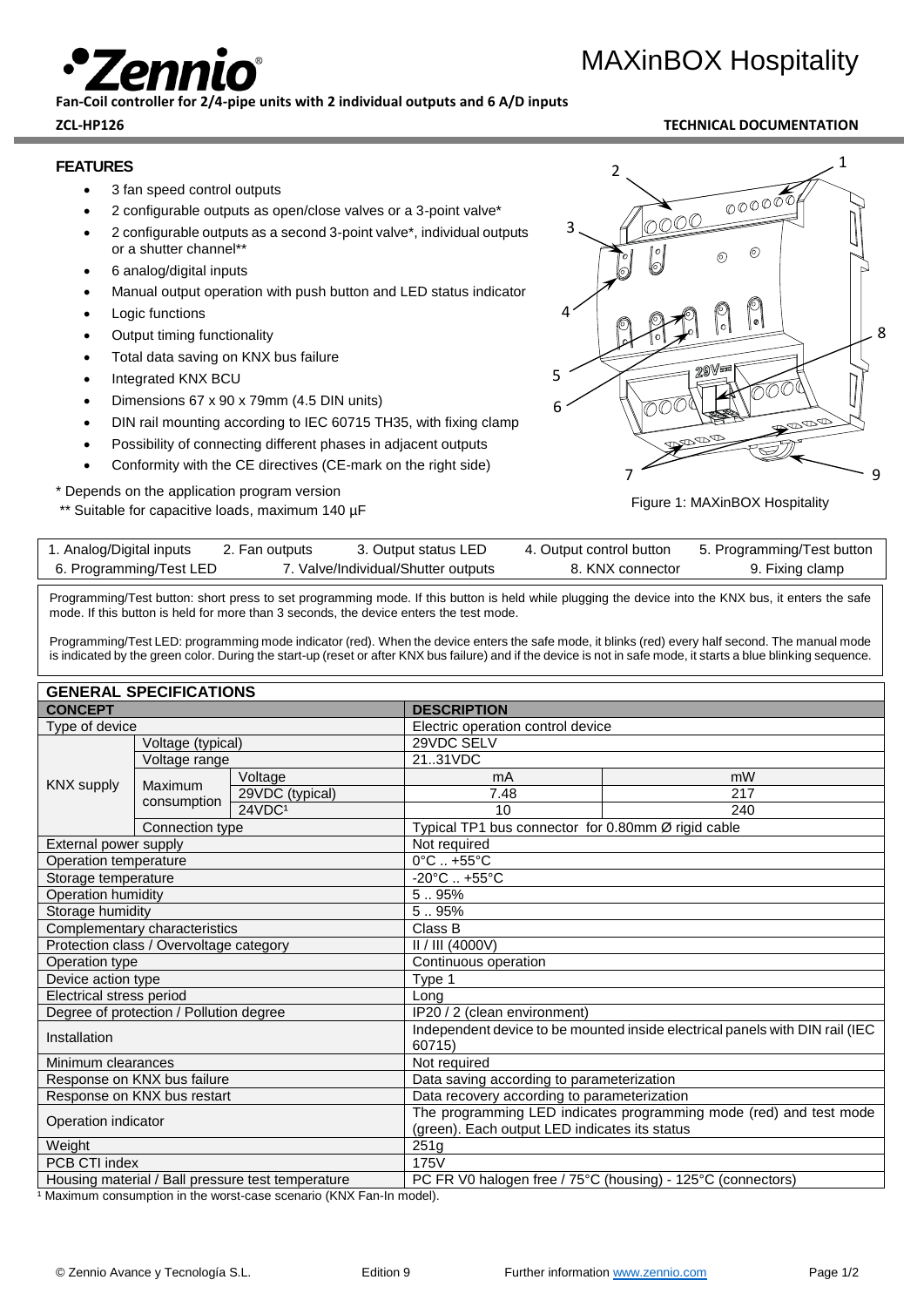## **Fan-Coil controller for 2/4-pipe units with 2 individual outputs and 6 A/D inputs**

## **ZCL-HP126 TECHNICAL DOCUMENTATION**

MAXinBOX Hospitality

### **FEATURES**

- 3 fan speed control outputs
- 2 configurable outputs as open/close valves or a 3-point valve\*
- 2 configurable outputs as a second 3-point valve\*, individual outputs or a shutter channel\*\*
- 6 analog/digital inputs
- Manual output operation with push button and LED status indicator
- **Logic functions**
- **Output timing functionality**
- Total data saving on KNX bus failure
- Integrated KNX BCU
- Dimensions 67 x 90 x 79mm (4.5 DIN units)
- DIN rail mounting according to IEC 60715 TH35, with fixing clamp
- Possibility of connecting different phases in adjacent outputs
- Conformity with the CE directives (CE-mark on the right side)

\* Depends on the application program version

\*\* Suitable for capacitive loads, maximum 140 µF



Figure 1: MAXinBOX Hospitality

| 7. Valve/Individual/Shutter outputs<br>6. Programming/Test LED<br>8. KNX connector<br>9. Fixing clamp | 1. Analog/Digital inputs | 2. Fan outputs | 3. Output status LED | 4. Output control button | 5. Programming/Test button |
|-------------------------------------------------------------------------------------------------------|--------------------------|----------------|----------------------|--------------------------|----------------------------|
|                                                                                                       |                          |                |                      |                          |                            |

Programming/Test button: short press to set programming mode. If this button is held while plugging the device into the KNX bus, it enters the safe mode. If this button is held for more than 3 seconds, the device enters the test mode.

Programming/Test LED: programming mode indicator (red). When the device enters the safe mode, it blinks (red) every half second. The manual mode is indicated by the green color. During the start-up (reset or after KNX bus failure) and if the device is not in safe mode, it starts a blue blinking sequence.

## **GENERAL SPECIFICATIONS**

| <b>CONCEPT</b>                          |                 | <b>DESCRIPTION</b>                                                         |                                                                              |                                                                 |  |  |
|-----------------------------------------|-----------------|----------------------------------------------------------------------------|------------------------------------------------------------------------------|-----------------------------------------------------------------|--|--|
| Type of device                          |                 | Electric operation control device                                          |                                                                              |                                                                 |  |  |
| Voltage (typical)<br>Voltage range      |                 | 29VDC SELV                                                                 |                                                                              |                                                                 |  |  |
|                                         |                 |                                                                            | 2131VDC                                                                      |                                                                 |  |  |
|                                         |                 | Voltage                                                                    | mA                                                                           | mW                                                              |  |  |
| <b>KNX supply</b>                       | Maximum         | 29VDC (typical)                                                            | 7.48                                                                         | 217                                                             |  |  |
|                                         | consumption     | 24VDC <sup>1</sup>                                                         | 10                                                                           | 240                                                             |  |  |
|                                         | Connection type |                                                                            |                                                                              | Typical TP1 bus connector for 0.80mm Ø rigid cable              |  |  |
| External power supply                   |                 |                                                                            | Not required                                                                 |                                                                 |  |  |
| Operation temperature                   |                 |                                                                            | $0^{\circ}$ C $. +55^{\circ}$ C                                              |                                                                 |  |  |
| Storage temperature                     |                 |                                                                            | $-20^{\circ}$ C  +55 $^{\circ}$ C                                            |                                                                 |  |  |
| <b>Operation humidity</b>               |                 |                                                                            | 5.95%                                                                        |                                                                 |  |  |
| Storage humidity                        |                 |                                                                            | 5.95%                                                                        |                                                                 |  |  |
| Complementary characteristics           |                 | Class B                                                                    |                                                                              |                                                                 |  |  |
| Protection class / Overvoltage category |                 | II / III (4000V)                                                           |                                                                              |                                                                 |  |  |
| Operation type                          |                 | Continuous operation                                                       |                                                                              |                                                                 |  |  |
| Device action type                      |                 | Type 1                                                                     |                                                                              |                                                                 |  |  |
| Electrical stress period                |                 | Lona                                                                       |                                                                              |                                                                 |  |  |
| Degree of protection / Pollution degree |                 | IP20 / 2 (clean environment)                                               |                                                                              |                                                                 |  |  |
| Installation                            |                 | 60715)                                                                     | Independent device to be mounted inside electrical panels with DIN rail (IEC |                                                                 |  |  |
| Minimum clearances                      |                 | Not required                                                               |                                                                              |                                                                 |  |  |
| Response on KNX bus failure             |                 |                                                                            | Data saving according to parameterization                                    |                                                                 |  |  |
| Response on KNX bus restart             |                 | Data recovery according to parameterization                                |                                                                              |                                                                 |  |  |
| Operation indicator                     |                 |                                                                            | The programming LED indicates programming mode (red) and test mode           |                                                                 |  |  |
|                                         |                 | (green). Each output LED indicates its status                              |                                                                              |                                                                 |  |  |
| Weight                                  |                 | 251g                                                                       |                                                                              |                                                                 |  |  |
| PCB CTI index                           |                 | 175V                                                                       |                                                                              |                                                                 |  |  |
|                                         |                 | University and the start of U.D. all in second to all the second startings |                                                                              | $DCED VQ$ belease free (750 $C$ (believe) 4050 $C$ (connective) |  |  |

Housing material / Ball pressure test temperature PC FR V0 halogen free / 75°C (housing) - 125°C (connectors)  $\overline{1}$  Maximum consumption in the worst-case scenario (KNX Fan-In model).